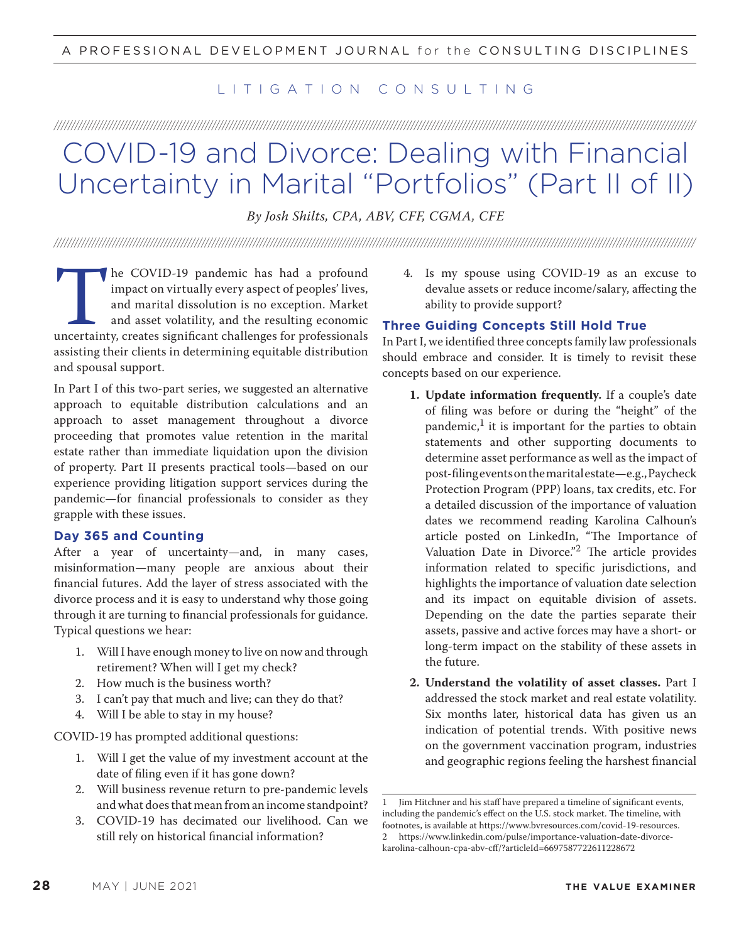## LITIGATION CONSULTING

# /////////////////////////////////////////////////////////////////////////////////////////////////////////////////////////////////////////////////////////////////////////////////////////// COVID-19 and Divorce: Dealing with Financial Uncertainty in Marital "Portfolios" (Part II of II)

*By Josh Shilts, CPA, ABV, CFF, CGMA, CFE*

///////////////////////////////////////////////////////////////////////////////////////////////////////////////////////////////////////////////////////////////////////////////////////////

The COVID-19 pandemic has had a profound<br>impact on virtually every aspect of peoples' lives,<br>and marital dissolution is no exception. Market<br>and asset volatility, and the resulting economic<br>uncertainty, creates significant impact on virtually every aspect of peoples' lives, and marital dissolution is no exception. Market and asset volatility, and the resulting economic uncertainty, creates significant challenges for professionals assisting their clients in determining equitable distribution and spousal support.

In Part I of this two-part series, we suggested an alternative approach to equitable distribution calculations and an approach to asset management throughout a divorce proceeding that promotes value retention in the marital estate rather than immediate liquidation upon the division of property. Part II presents practical tools—based on our experience providing litigation support services during the pandemic—for financial professionals to consider as they grapple with these issues.

#### **Day 365 and Counting**

After a year of uncertainty—and, in many cases, misinformation—many people are anxious about their financial futures. Add the layer of stress associated with the divorce process and it is easy to understand why those going through it are turning to financial professionals for guidance. Typical questions we hear:

- 1. Will I have enough money to live on now and through retirement? When will I get my check?
- 2. How much is the business worth?
- 3. I can't pay that much and live; can they do that?
- 4. Will I be able to stay in my house?

COVID-19 has prompted additional questions:

- 1. Will I get the value of my investment account at the date of filing even if it has gone down?
- 2. Will business revenue return to pre-pandemic levels and what does that mean from an income standpoint?
- 3. COVID-19 has decimated our livelihood. Can we still rely on historical financial information?

4. Is my spouse using COVID-19 as an excuse to devalue assets or reduce income/salary, affecting the ability to provide support?

#### **Three Guiding Concepts Still Hold True**

In Part I, we identified three concepts family law professionals should embrace and consider. It is timely to revisit these concepts based on our experience.

- **1. Update information frequently.** If a couple's date of filing was before or during the "height" of the pandemic, $<sup>1</sup>$  it is important for the parties to obtain</sup> statements and other supporting documents to determine asset performance as well as the impact of post-filing events on the marital estate—e.g., Paycheck Protection Program (PPP) loans, tax credits, etc. For a detailed discussion of the importance of valuation dates we recommend reading Karolina Calhoun's article posted on LinkedIn, "The Importance of Valuation Date in Divorce."<sup>2</sup> The article provides information related to specific jurisdictions, and highlights the importance of valuation date selection and its impact on equitable division of assets. Depending on the date the parties separate their assets, passive and active forces may have a short- or long-term impact on the stability of these assets in the future.
- **2. Understand the volatility of asset classes.** Part I addressed the stock market and real estate volatility. Six months later, historical data has given us an indication of potential trends. With positive news on the government vaccination program, industries and geographic regions feeling the harshest financial

Jim Hitchner and his staff have prepared a timeline of significant events, including the pandemic's effect on the U.S. stock market. The timeline, with footnotes, is available at https://www.bvresources.com/covid-19-resources. 2 https://www.linkedin.com/pulse/importance-valuation-date-divorcekarolina-calhoun-cpa-abv-cff/?articleId=6697587722611228672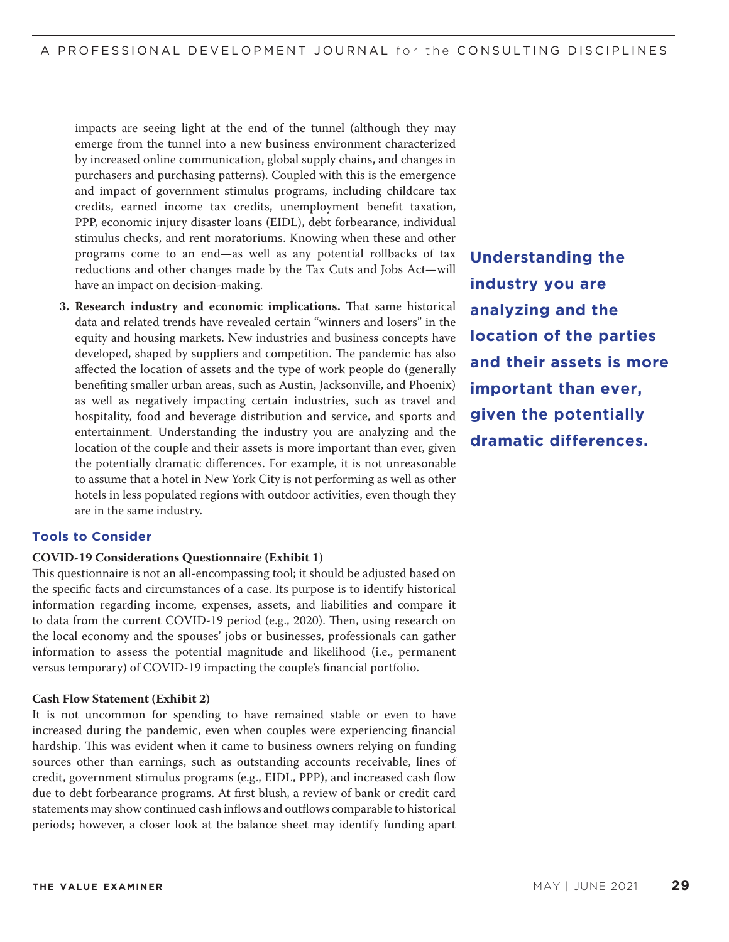impacts are seeing light at the end of the tunnel (although they may emerge from the tunnel into a new business environment characterized by increased online communication, global supply chains, and changes in purchasers and purchasing patterns). Coupled with this is the emergence and impact of government stimulus programs, including childcare tax credits, earned income tax credits, unemployment benefit taxation, PPP, economic injury disaster loans (EIDL), debt forbearance, individual stimulus checks, and rent moratoriums. Knowing when these and other programs come to an end—as well as any potential rollbacks of tax reductions and other changes made by the Tax Cuts and Jobs Act—will have an impact on decision-making.

**3. Research industry and economic implications.** That same historical data and related trends have revealed certain "winners and losers" in the equity and housing markets. New industries and business concepts have developed, shaped by suppliers and competition. The pandemic has also affected the location of assets and the type of work people do (generally benefiting smaller urban areas, such as Austin, Jacksonville, and Phoenix) as well as negatively impacting certain industries, such as travel and hospitality, food and beverage distribution and service, and sports and entertainment. Understanding the industry you are analyzing and the location of the couple and their assets is more important than ever, given the potentially dramatic differences. For example, it is not unreasonable to assume that a hotel in New York City is not performing as well as other hotels in less populated regions with outdoor activities, even though they are in the same industry.

## **Understanding the industry you are analyzing and the location of the parties and their assets is more important than ever, given the potentially dramatic differences.**

#### **Tools to Consider**

#### **COVID-19 Considerations Questionnaire (Exhibit 1)**

This questionnaire is not an all-encompassing tool; it should be adjusted based on the specific facts and circumstances of a case. Its purpose is to identify historical information regarding income, expenses, assets, and liabilities and compare it to data from the current COVID-19 period (e.g., 2020). Then, using research on the local economy and the spouses' jobs or businesses, professionals can gather information to assess the potential magnitude and likelihood (i.e., permanent versus temporary) of COVID-19 impacting the couple's financial portfolio.

#### **Cash Flow Statement (Exhibit 2)**

It is not uncommon for spending to have remained stable or even to have increased during the pandemic, even when couples were experiencing financial hardship. This was evident when it came to business owners relying on funding sources other than earnings, such as outstanding accounts receivable, lines of credit, government stimulus programs (e.g., EIDL, PPP), and increased cash flow due to debt forbearance programs. At first blush, a review of bank or credit card statements may show continued cash inflows and outflows comparable to historical periods; however, a closer look at the balance sheet may identify funding apart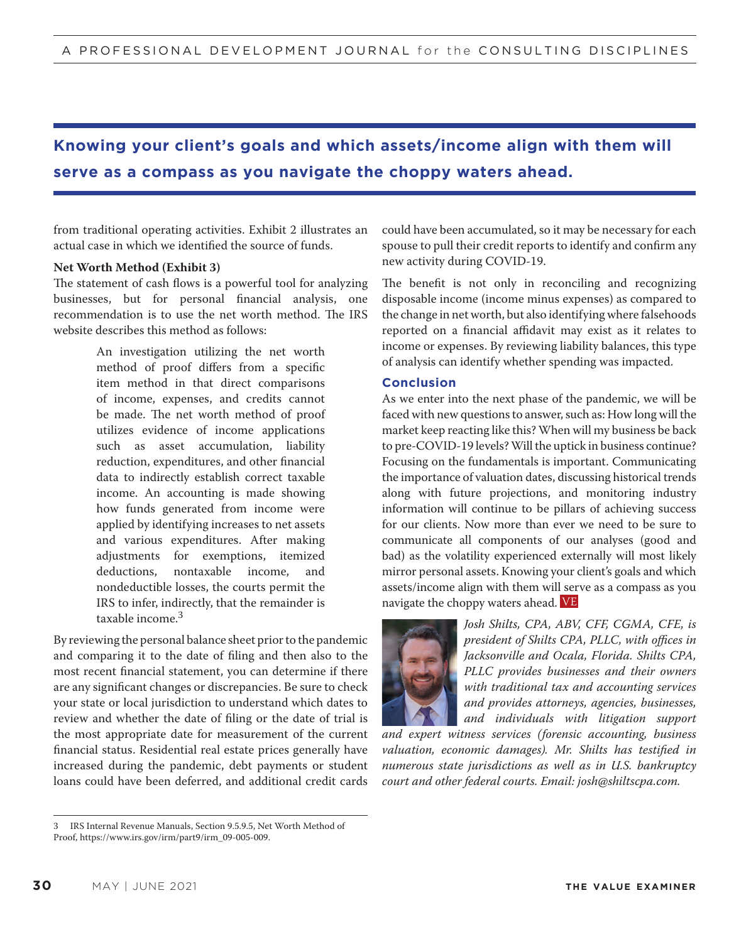## **Knowing your client's goals and which assets/income align with them will serve as a compass as you navigate the choppy waters ahead.**

from traditional operating activities. Exhibit 2 illustrates an actual case in which we identified the source of funds.

#### **Net Worth Method (Exhibit 3)**

The statement of cash flows is a powerful tool for analyzing businesses, but for personal financial analysis, one recommendation is to use the net worth method. The IRS website describes this method as follows:

> An investigation utilizing the net worth method of proof differs from a specific item method in that direct comparisons of income, expenses, and credits cannot be made. The net worth method of proof utilizes evidence of income applications such as asset accumulation, liability reduction, expenditures, and other financial data to indirectly establish correct taxable income. An accounting is made showing how funds generated from income were applied by identifying increases to net assets and various expenditures. After making adjustments for exemptions, itemized deductions, nontaxable income, and nondeductible losses, the courts permit the IRS to infer, indirectly, that the remainder is taxable income.<sup>3</sup>

By reviewing the personal balance sheet prior to the pandemic and comparing it to the date of filing and then also to the most recent financial statement, you can determine if there are any significant changes or discrepancies. Be sure to check your state or local jurisdiction to understand which dates to review and whether the date of filing or the date of trial is the most appropriate date for measurement of the current financial status. Residential real estate prices generally have increased during the pandemic, debt payments or student loans could have been deferred, and additional credit cards could have been accumulated, so it may be necessary for each spouse to pull their credit reports to identify and confirm any new activity during COVID-19.

The benefit is not only in reconciling and recognizing disposable income (income minus expenses) as compared to the change in net worth, but also identifying where falsehoods reported on a financial affidavit may exist as it relates to income or expenses. By reviewing liability balances, this type of analysis can identify whether spending was impacted.

#### **Conclusion**

As we enter into the next phase of the pandemic, we will be faced with new questions to answer, such as: How long will the market keep reacting like this? When will my business be back to pre-COVID-19 levels? Will the uptick in business continue? Focusing on the fundamentals is important. Communicating the importance of valuation dates, discussing historical trends along with future projections, and monitoring industry information will continue to be pillars of achieving success for our clients. Now more than ever we need to be sure to communicate all components of our analyses (good and bad) as the volatility experienced externally will most likely mirror personal assets. Knowing your client's goals and which assets/income align with them will serve as a compass as you navigate the choppy waters ahead. VE



*Josh Shilts, CPA, ABV, CFF, CGMA, CFE, is president of Shilts CPA, PLLC, with o*ffi*ces in Jacksonville and Ocala, Florida. Shilts CPA, PLLC provides businesses and their owners with traditional tax and accounting services and provides attorneys, agencies, businesses, and individuals with litigation support* 

*and expert witness services (forensic accounting, business valuation, economic damages). Mr. Shilts has testified in numerous state jurisdictions as well as in U.S. bankruptcy court and other federal courts. Email: josh@shiltscpa.com.*

<sup>3</sup> IRS Internal Revenue Manuals, Section 9.5.9.5, Net Worth Method of

Proof, https://www.irs.gov/irm/part9/irm\_09-005-009.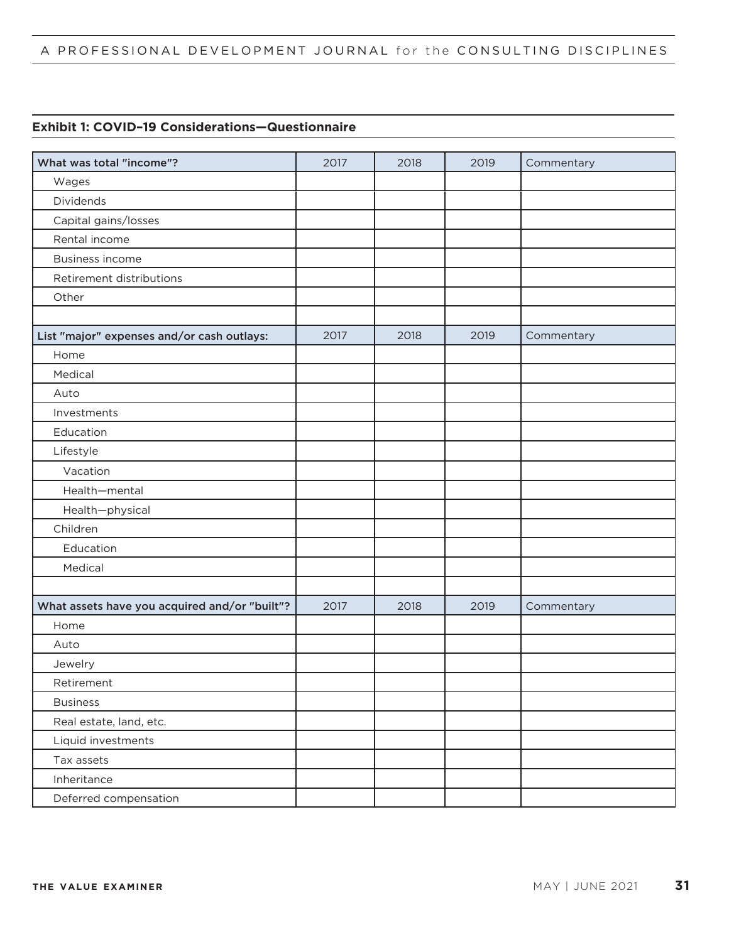## A PROFESSIONAL DEVELOPMENT JOURNAL for the CONSULTING DISCIPLINES

### **Exhibit 1: COVID–19 Considerations—Questionnaire**

| What was total "income"?                      | 2017 | 2018 | 2019 | Commentary |
|-----------------------------------------------|------|------|------|------------|
| Wages                                         |      |      |      |            |
| Dividends                                     |      |      |      |            |
| Capital gains/losses                          |      |      |      |            |
| Rental income                                 |      |      |      |            |
| <b>Business income</b>                        |      |      |      |            |
| Retirement distributions                      |      |      |      |            |
| Other                                         |      |      |      |            |
|                                               |      |      |      |            |
| List "major" expenses and/or cash outlays:    | 2017 | 2018 | 2019 | Commentary |
| Home                                          |      |      |      |            |
| Medical                                       |      |      |      |            |
| Auto                                          |      |      |      |            |
| Investments                                   |      |      |      |            |
| Education                                     |      |      |      |            |
| Lifestyle                                     |      |      |      |            |
| Vacation                                      |      |      |      |            |
| Health-mental                                 |      |      |      |            |
| Health-physical                               |      |      |      |            |
| Children                                      |      |      |      |            |
| Education                                     |      |      |      |            |
| Medical                                       |      |      |      |            |
|                                               |      |      |      |            |
| What assets have you acquired and/or "built"? | 2017 | 2018 | 2019 | Commentary |
| Home                                          |      |      |      |            |
| Auto                                          |      |      |      |            |
| Jewelry                                       |      |      |      |            |
| Retirement                                    |      |      |      |            |
| <b>Business</b>                               |      |      |      |            |
| Real estate, land, etc.                       |      |      |      |            |
| Liquid investments                            |      |      |      |            |
| Tax assets                                    |      |      |      |            |
| Inheritance                                   |      |      |      |            |
| Deferred compensation                         |      |      |      |            |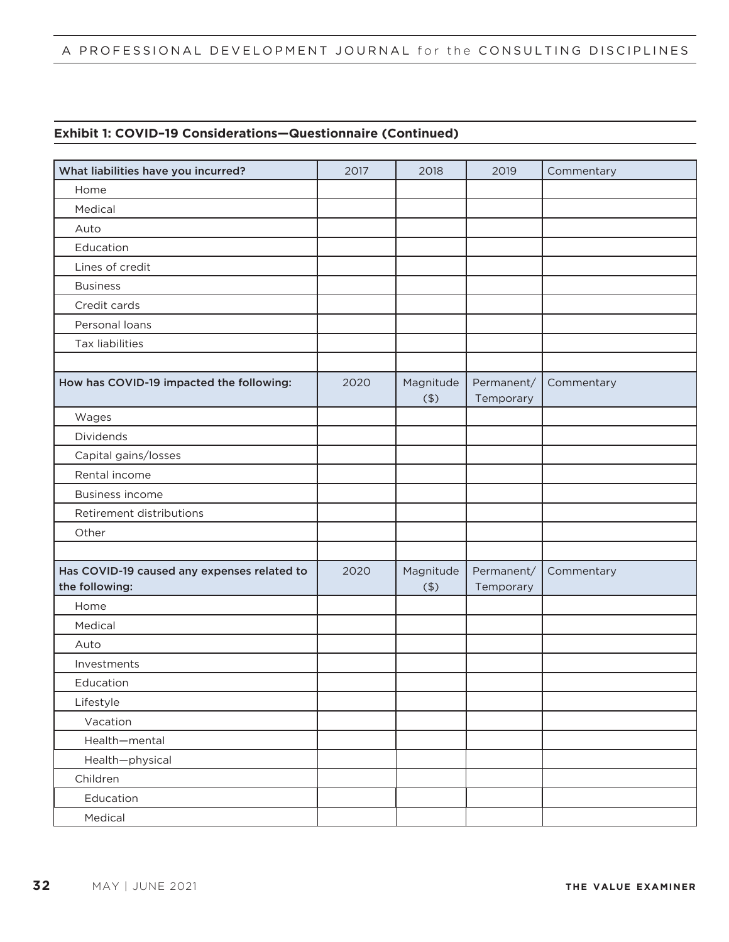## A PROFESSIONAL DEVELOPMENT JOURNAL for the CONSULTING DISCIPLINES

### **Exhibit 1: COVID–19 Considerations—Questionnaire (Continued)**

| What liabilities have you incurred?         | 2017 | 2018      | 2019       | Commentary |
|---------------------------------------------|------|-----------|------------|------------|
| Home                                        |      |           |            |            |
| Medical                                     |      |           |            |            |
| Auto                                        |      |           |            |            |
| Education                                   |      |           |            |            |
| Lines of credit                             |      |           |            |            |
| <b>Business</b>                             |      |           |            |            |
| Credit cards                                |      |           |            |            |
| Personal loans                              |      |           |            |            |
| <b>Tax liabilities</b>                      |      |           |            |            |
|                                             |      |           |            |            |
| How has COVID-19 impacted the following:    | 2020 | Magnitude | Permanent/ | Commentary |
|                                             |      | (4)       | Temporary  |            |
| Wages                                       |      |           |            |            |
| Dividends                                   |      |           |            |            |
| Capital gains/losses                        |      |           |            |            |
| Rental income                               |      |           |            |            |
| <b>Business income</b>                      |      |           |            |            |
| Retirement distributions                    |      |           |            |            |
| Other                                       |      |           |            |            |
|                                             |      |           |            |            |
| Has COVID-19 caused any expenses related to | 2020 | Magnitude | Permanent/ | Commentary |
| the following:                              |      | (4)       | Temporary  |            |
| Home                                        |      |           |            |            |
| Medical                                     |      |           |            |            |
| Auto                                        |      |           |            |            |
| Investments                                 |      |           |            |            |
| Education                                   |      |           |            |            |
| Lifestyle                                   |      |           |            |            |
| Vacation                                    |      |           |            |            |
| Health-mental                               |      |           |            |            |
| Health-physical                             |      |           |            |            |
| Children                                    |      |           |            |            |
| Education                                   |      |           |            |            |
| Medical                                     |      |           |            |            |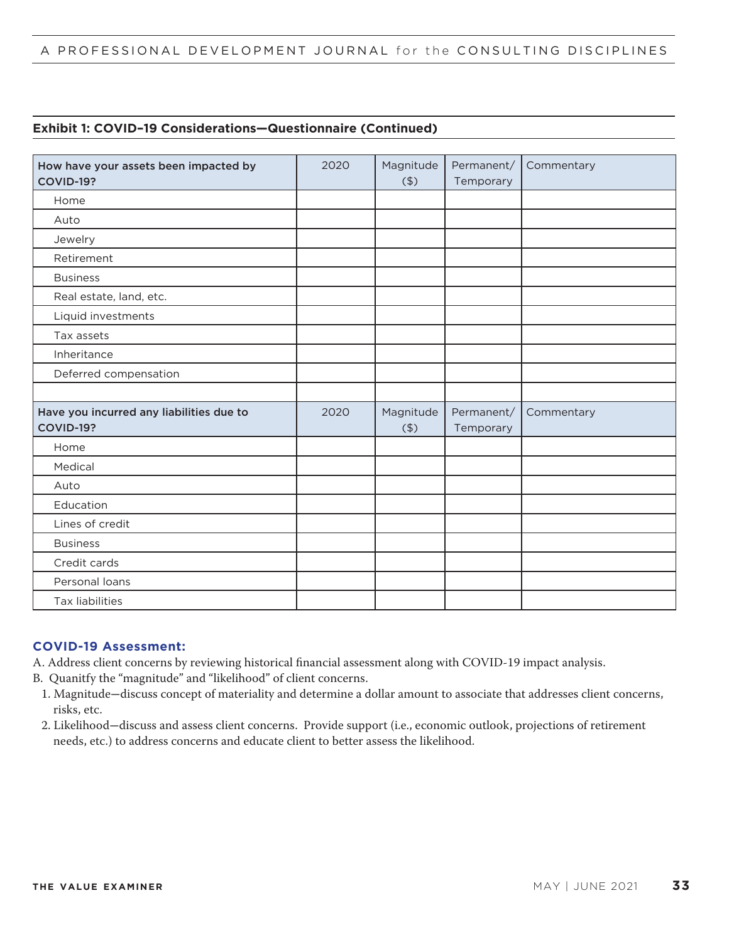## **Exhibit 1: COVID–19 Considerations—Questionnaire (Continued)**

| How have your assets been impacted by<br><b>COVID-19?</b>    | 2020 | Magnitude<br>(4) | Permanent/<br>Temporary | Commentary |
|--------------------------------------------------------------|------|------------------|-------------------------|------------|
| Home                                                         |      |                  |                         |            |
| Auto                                                         |      |                  |                         |            |
| Jewelry                                                      |      |                  |                         |            |
| Retirement                                                   |      |                  |                         |            |
| <b>Business</b>                                              |      |                  |                         |            |
| Real estate, land, etc.                                      |      |                  |                         |            |
| Liquid investments                                           |      |                  |                         |            |
| Tax assets                                                   |      |                  |                         |            |
| Inheritance                                                  |      |                  |                         |            |
| Deferred compensation                                        |      |                  |                         |            |
|                                                              |      |                  |                         |            |
| Have you incurred any liabilities due to<br><b>COVID-19?</b> | 2020 | Magnitude<br>(4) | Permanent/<br>Temporary | Commentary |
| Home                                                         |      |                  |                         |            |
| Medical                                                      |      |                  |                         |            |
| Auto                                                         |      |                  |                         |            |
| Education                                                    |      |                  |                         |            |
| Lines of credit                                              |      |                  |                         |            |
| <b>Business</b>                                              |      |                  |                         |            |
| Credit cards                                                 |      |                  |                         |            |
| Personal loans                                               |      |                  |                         |            |
| Tax liabilities                                              |      |                  |                         |            |

## **COVID-19 Assessment:**

A. Address client concerns by reviewing historical financial assessment along with COVID-19 impact analysis.

B. Quanitfy the "magnitude" and "likelihood" of client concerns.

- 1. Magnitude—discuss concept of materiality and determine a dollar amount to associate that addresses client concerns, risks, etc.
- 2. Likelihood—discuss and assess client concerns. Provide support (i.e., economic outlook, projections of retirement needs, etc.) to address concerns and educate client to better assess the likelihood.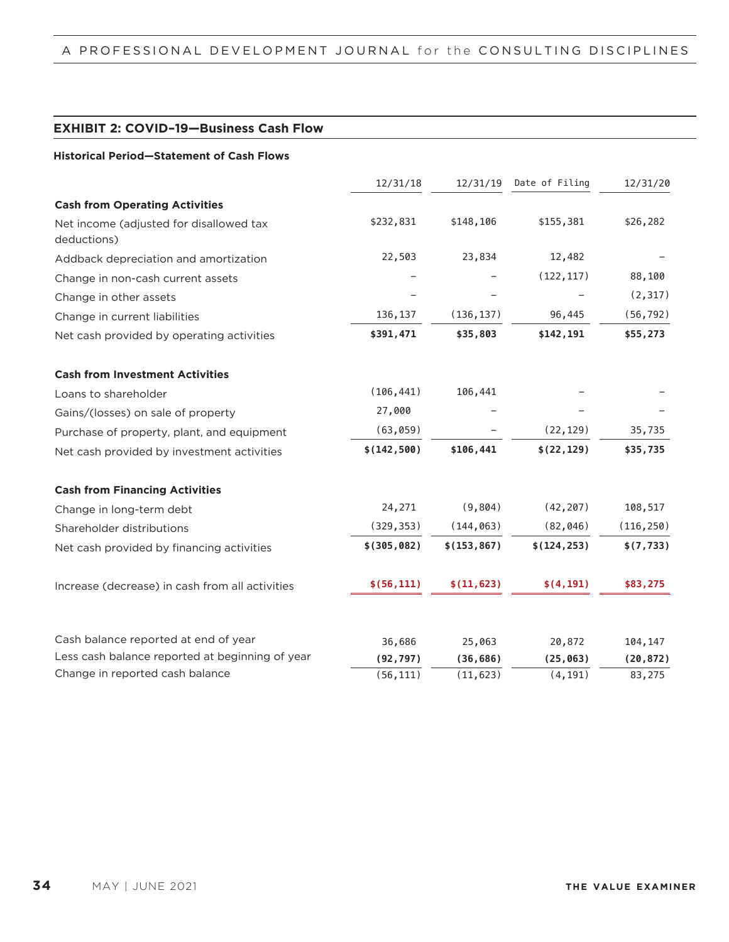#### **EXHIBIT 2: COVID–19—Business Cash Flow**

#### **Historical Period—Statement of Cash Flows**

|                                                        | 12/31/18     | 12/31/19     | Date of Filing | 12/31/20   |
|--------------------------------------------------------|--------------|--------------|----------------|------------|
| <b>Cash from Operating Activities</b>                  |              |              |                |            |
| Net income (adjusted for disallowed tax<br>deductions) | \$232,831    | \$148,106    | \$155,381      | \$26,282   |
| Addback depreciation and amortization                  | 22,503       | 23,834       | 12,482         |            |
| Change in non-cash current assets                      |              |              | (122, 117)     | 88,100     |
| Change in other assets                                 |              |              |                | (2, 317)   |
| Change in current liabilities                          | 136, 137     | (136, 137)   | 96,445         | (56, 792)  |
| Net cash provided by operating activities              | \$391,471    | \$35,803     | \$142,191      | \$55,273   |
| <b>Cash from Investment Activities</b>                 |              |              |                |            |
| Loans to shareholder                                   | (106, 441)   | 106,441      |                |            |
| Gains/(losses) on sale of property                     | 27,000       |              |                |            |
| Purchase of property, plant, and equipment             | (63, 059)    |              | (22, 129)      | 35,735     |
| Net cash provided by investment activities             | \$(142, 500) | \$106,441    | \$(22, 129)    | \$35,735   |
| <b>Cash from Financing Activities</b>                  |              |              |                |            |
| Change in long-term debt                               | 24,271       | (9,804)      | (42, 207)      | 108,517    |
| Shareholder distributions                              | (329, 353)   | (144, 063)   | (82, 046)      | (116, 250) |
| Net cash provided by financing activities              | \$(305, 082) | \$(153, 867) | \$(124, 253)   | \$(7, 733) |
| Increase (decrease) in cash from all activities        | \$(56, 111)  | \$(11, 623)  | \$(4, 191)     | \$83,275   |
|                                                        |              |              |                |            |
| Cash balance reported at end of year                   | 36,686       | 25,063       | 20,872         | 104,147    |
| Less cash balance reported at beginning of year        | (92, 797)    | (36, 686)    | (25, 063)      | (20, 872)  |
| Change in reported cash balance                        | (56, 111)    | (11, 623)    | (4, 191)       | 83,275     |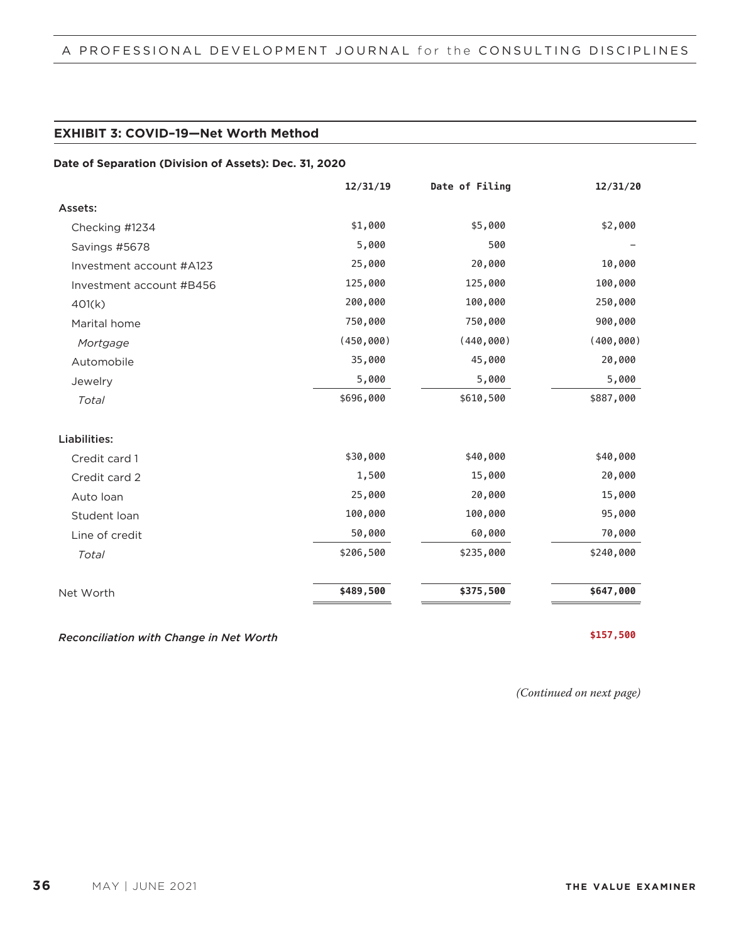### **EXHIBIT 3: COVID–19—Net Worth Method**

#### **Date of Separation (Division of Assets): Dec. 31, 2020**

|                          | 12/31/19   | Date of Filing | 12/31/20   |
|--------------------------|------------|----------------|------------|
| Assets:                  |            |                |            |
| Checking #1234           | \$1,000    | \$5,000        | \$2,000    |
| Savings #5678            | 5,000      | 500            |            |
| Investment account #A123 | 25,000     | 20,000         | 10,000     |
| Investment account #B456 | 125,000    | 125,000        | 100,000    |
| 401(k)                   | 200,000    | 100,000        | 250,000    |
| Marital home             | 750,000    | 750,000        | 900,000    |
| Mortgage                 | (450, 000) | (440, 000)     | (400, 000) |
| Automobile               | 35,000     | 45,000         | 20,000     |
| Jewelry                  | 5,000      | 5,000          | 5,000      |
| Total                    | \$696,000  | \$610,500      | \$887,000  |
| Liabilities:             |            |                |            |
| Credit card 1            | \$30,000   | \$40,000       | \$40,000   |
| Credit card 2            | 1,500      | 15,000         | 20,000     |
| Auto Ioan                | 25,000     | 20,000         | 15,000     |
| Student loan             | 100,000    | 100,000        | 95,000     |
| Line of credit           | 50,000     | 60,000         | 70,000     |
| Total                    | \$206,500  | \$235,000      | \$240,000  |
| Net Worth                | \$489,500  | \$375,500      | \$647,000  |

*Reconciliation with Change in Net Worth* **<b>\$157,500** 

*(Continued on next page)*